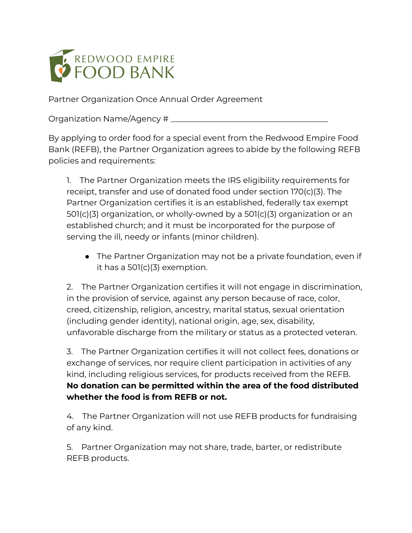

Partner Organization Once Annual Order Agreement

Organization Name/Agency #

By applying to order food for a special event from the Redwood Empire Food Bank (REFB), the Partner Organization agrees to abide by the following REFB policies and requirements:

1. The Partner Organization meets the IRS eligibility requirements for receipt, transfer and use of donated food under section 170(c)(3). The Partner Organization certifies it is an established, federally tax exempt 501(c)(3) organization, or wholly-owned by a 501(c)(3) organization or an established church; and it must be incorporated for the purpose of serving the ill, needy or infants (minor children).

• The Partner Organization may not be a private foundation, even if it has a 501(c)(3) exemption.

2. The Partner Organization certifies it will not engage in discrimination, in the provision of service, against any person because of race, color, creed, citizenship, religion, ancestry, marital status, sexual orientation (including gender identity), national origin, age, sex, disability, unfavorable discharge from the military or status as a protected veteran.

3. The Partner Organization certifies it will not collect fees, donations or exchange of services, nor require client participation in activities of any kind, including religious services, for products received from the REFB. **No donation can be permitted within the area of the food distributed whether the food is from REFB or not.**

4. The Partner Organization will not use REFB products for fundraising of any kind.

5. Partner Organization may not share, trade, barter, or redistribute REFB products.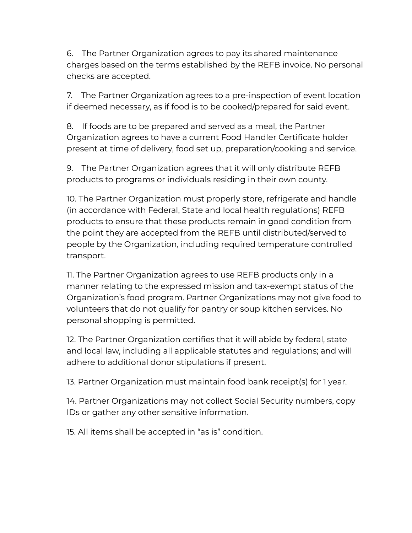6. The Partner Organization agrees to pay its shared maintenance charges based on the terms established by the REFB invoice. No personal checks are accepted.

7. The Partner Organization agrees to a pre-inspection of event location if deemed necessary, as if food is to be cooked/prepared for said event.

8. If foods are to be prepared and served as a meal, the Partner Organization agrees to have a current Food Handler Certificate holder present at time of delivery, food set up, preparation/cooking and service.

9. The Partner Organization agrees that it will only distribute REFB products to programs or individuals residing in their own county.

10. The Partner Organization must properly store, refrigerate and handle (in accordance with Federal, State and local health regulations) REFB products to ensure that these products remain in good condition from the point they are accepted from the REFB until distributed/served to people by the Organization, including required temperature controlled transport.

11. The Partner Organization agrees to use REFB products only in a manner relating to the expressed mission and tax-exempt status of the Organization's food program. Partner Organizations may not give food to volunteers that do not qualify for pantry or soup kitchen services. No personal shopping is permitted.

12. The Partner Organization certifies that it will abide by federal, state and local law, including all applicable statutes and regulations; and will adhere to additional donor stipulations if present.

13. Partner Organization must maintain food bank receipt(s) for 1 year.

14. Partner Organizations may not collect Social Security numbers, copy IDs or gather any other sensitive information.

15. All items shall be accepted in "as is" condition.